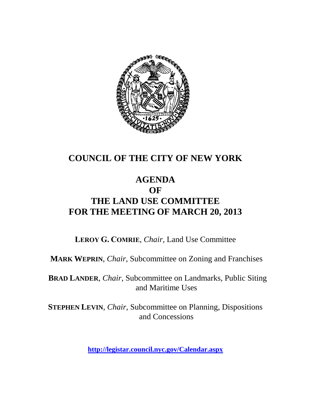

# **COUNCIL OF THE CITY OF NEW YORK**

# **AGENDA OF THE LAND USE COMMITTEE FOR THE MEETING OF MARCH 20, 2013**

**LEROY G. COMRIE**, *Chair*, Land Use Committee

**MARK WEPRIN**, *Chair*, Subcommittee on Zoning and Franchises

**BRAD LANDER**, *Chair*, Subcommittee on Landmarks, Public Siting and Maritime Uses

**STEPHEN LEVIN**, *Chair,* Subcommittee on Planning, Dispositions and Concessions

**<http://legistar.council.nyc.gov/Calendar.aspx>**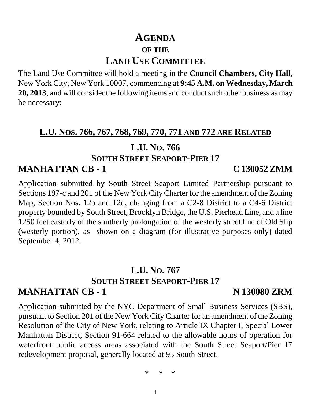# **AGENDA OF THE LAND USE COMMITTEE**

The Land Use Committee will hold a meeting in the **Council Chambers, City Hall,** New York City, New York 10007, commencing at **9:45 A.M. on Wednesday, March 20, 2013**, and will consider the following items and conduct such other business as may be necessary:

# **L.U. NOS. 766, 767, 768, 769, 770, 771 AND 772 ARE RELATED**

# **L.U. NO. 766**

# **SOUTH STREET SEAPORT-PIER 17**

# **MANHATTAN CB - 1 C 130052 ZMM**

Application submitted by South Street Seaport Limited Partnership pursuant to Sections 197-c and 201 of the New York City Charter for the amendment of the Zoning Map, Section Nos. 12b and 12d, changing from a C2-8 District to a C4-6 District property bounded by South Street, Brooklyn Bridge, the U.S. Pierhead Line, and a line 1250 feet easterly of the southerly prolongation of the westerly street line of Old Slip (westerly portion), as shown on a diagram (for illustrative purposes only) dated September 4, 2012.

## **L.U. NO. 767 SOUTH STREET SEAPORT-PIER 17 MANHATTAN CB - 1 N 130080 ZRM**

Application submitted by the NYC Department of Small Business Services (SBS), pursuant to Section 201 of the New York City Charter for an amendment of the Zoning Resolution of the City of New York, relating to Article IX Chapter I, Special Lower Manhattan District, Section 91-664 related to the allowable hours of operation for waterfront public access areas associated with the South Street Seaport/Pier 17 redevelopment proposal, generally located at 95 South Street.

\* \* \*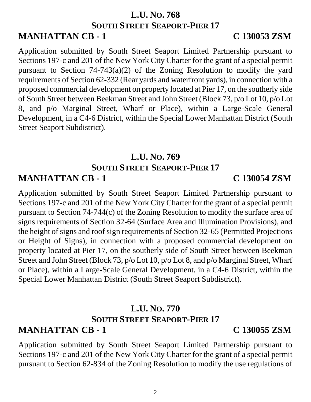## **L.U. NO. 768 SOUTH STREET SEAPORT-PIER 17 MANHATTAN CB - 1 C 130053 ZSM**

Application submitted by South Street Seaport Limited Partnership pursuant to Sections 197-c and 201 of the New York City Charter for the grant of a special permit pursuant to Section 74-743(a)(2) of the Zoning Resolution to modify the yard requirements of Section 62-332 (Rear yards and waterfront yards), in connection with a proposed commercial development on property located at Pier 17, on the southerly side of South Street between Beekman Street and John Street (Block 73, p/o Lot 10, p/o Lot 8, and p/o Marginal Street, Wharf or Place), within a Large-Scale General Development, in a C4-6 District, within the Special Lower Manhattan District (South Street Seaport Subdistrict).

## **L.U. NO. 769 SOUTH STREET SEAPORT-PIER 17 MANHATTAN CB - 1 C 130054 ZSM**

Application submitted by South Street Seaport Limited Partnership pursuant to Sections 197-c and 201 of the New York City Charter for the grant of a special permit pursuant to Section 74-744(c) of the Zoning Resolution to modify the surface area of signs requirements of Section 32-64 (Surface Area and Illumination Provisions), and the height of signs and roof sign requirements of Section 32-65 (Permitted Projections or Height of Signs), in connection with a proposed commercial development on property located at Pier 17, on the southerly side of South Street between Beekman Street and John Street (Block 73, p/o Lot 10, p/o Lot 8, and p/o Marginal Street, Wharf or Place), within a Large-Scale General Development, in a C4-6 District, within the Special Lower Manhattan District (South Street Seaport Subdistrict).

## **L.U. NO. 770 SOUTH STREET SEAPORT-PIER 17 MANHATTAN CB - 1 C 130055 ZSM**

Application submitted by South Street Seaport Limited Partnership pursuant to Sections 197-c and 201 of the New York City Charter for the grant of a special permit pursuant to Section 62-834 of the Zoning Resolution to modify the use regulations of